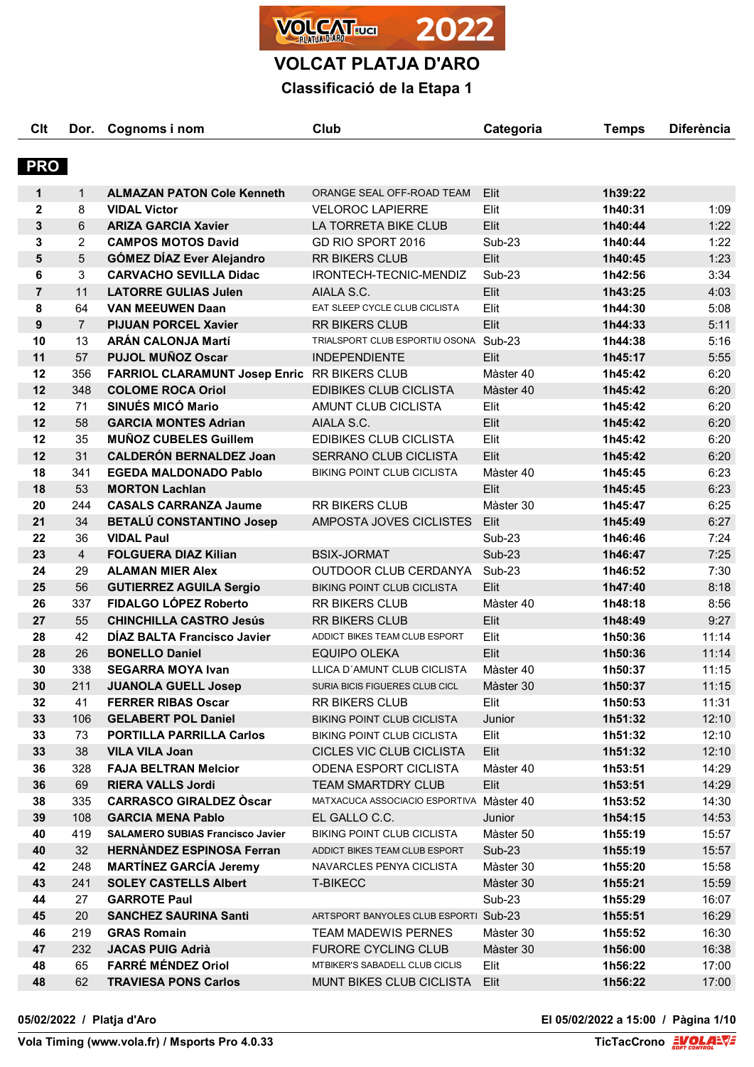

**VOLCAT PLATJA D'ARO**

# **Classificació de la Etapa 1**

| Clt            | Dor.           | Cognoms i nom                                        | Club                                     | Categoria     | <b>Temps</b> | <b>Diferència</b> |
|----------------|----------------|------------------------------------------------------|------------------------------------------|---------------|--------------|-------------------|
| <b>PRO</b>     |                |                                                      |                                          |               |              |                   |
| 1              | $\mathbf{1}$   | <b>ALMAZAN PATON Cole Kenneth</b>                    | ORANGE SEAL OFF-ROAD TEAM                | Elit.         | 1h39:22      |                   |
| $\overline{2}$ | 8              | <b>VIDAL Victor</b>                                  | <b>VELOROC LAPIERRE</b>                  | Elit          | 1h40:31      | 1:09              |
| 3              | 6              | <b>ARIZA GARCIA Xavier</b>                           | LA TORRETA BIKE CLUB                     | Elit          | 1h40:44      | 1:22              |
| 3              | $\overline{2}$ | <b>CAMPOS MOTOS David</b>                            | GD RIO SPORT 2016                        | <b>Sub-23</b> | 1h40:44      | 1:22              |
| 5              | 5              | <b>GÓMEZ DÍAZ Ever Alejandro</b>                     | RR BIKERS CLUB                           | Elit          | 1h40:45      | 1:23              |
| 6              | 3              | <b>CARVACHO SEVILLA Didac</b>                        | IRONTECH-TECNIC-MENDIZ                   | Sub-23        | 1h42:56      | 3:34              |
| $\overline{7}$ | 11             | <b>LATORRE GULIAS Julen</b>                          | AIALA S.C.                               | Elit          | 1h43:25      | 4:03              |
| 8              | 64             | <b>VAN MEEUWEN Daan</b>                              | EAT SLEEP CYCLE CLUB CICLISTA            | Elit          | 1h44:30      | 5:08              |
| 9              | $\overline{7}$ | <b>PIJUAN PORCEL Xavier</b>                          | <b>RR BIKERS CLUB</b>                    | Elit          | 1h44:33      | 5:11              |
| 10             | 13             | <b>ARÁN CALONJA Martí</b>                            | TRIALSPORT CLUB ESPORTIU OSONA Sub-23    |               | 1h44:38      | 5:16              |
| 11             | 57             | <b>PUJOL MUÑOZ Oscar</b>                             | <b>INDEPENDIENTE</b>                     | Elit          | 1h45:17      | 5:55              |
|                |                |                                                      |                                          |               |              |                   |
| 12             | 356            | FARRIOL CLARAMUNT Josep Enric RR BIKERS CLUB         |                                          | Màster 40     | 1h45:42      | 6:20              |
| 12             | 348            | <b>COLOME ROCA Oriol</b><br><b>SINUÉS MICÓ Mario</b> | <b>EDIBIKES CLUB CICLISTA</b>            | Màster 40     | 1h45:42      | 6:20              |
| 12             | 71             |                                                      | AMUNT CLUB CICLISTA                      | Elit          | 1h45:42      | 6:20              |
| 12             | 58             | <b>GARCIA MONTES Adrian</b>                          | AIALA S.C.                               | Elit          | 1h45:42      | 6:20              |
| 12             | 35             | <b>MUÑOZ CUBELES Guillem</b>                         | EDIBIKES CLUB CICLISTA                   | Elit          | 1h45:42      | 6:20              |
| 12             | 31             | <b>CALDERÓN BERNALDEZ Joan</b>                       | SERRANO CLUB CICLISTA                    | Elit          | 1h45:42      | 6:20              |
| 18             | 341            | <b>EGEDA MALDONADO Pablo</b>                         | <b>BIKING POINT CLUB CICLISTA</b>        | Màster 40     | 1h45:45      | 6:23              |
| 18             | 53             | <b>MORTON Lachlan</b>                                |                                          | Elit          | 1h45:45      | 6:23              |
| 20             | 244            | <b>CASALS CARRANZA Jaume</b>                         | <b>RR BIKERS CLUB</b>                    | Màster 30     | 1h45:47      | 6:25              |
| 21             | 34             | <b>BETALÚ CONSTANTINO Josep</b>                      | AMPOSTA JOVES CICLISTES                  | Elit          | 1h45:49      | 6:27              |
| 22             | 36             | <b>VIDAL Paul</b>                                    |                                          | <b>Sub-23</b> | 1h46:46      | 7:24              |
| 23             | $\overline{4}$ | <b>FOLGUERA DIAZ Kilian</b>                          | <b>BSIX-JORMAT</b>                       | <b>Sub-23</b> | 1h46:47      | 7:25              |
| 24             | 29             | <b>ALAMAN MIER Alex</b>                              | OUTDOOR CLUB CERDANYA                    | Sub-23        | 1h46:52      | 7:30              |
| 25             | 56             | <b>GUTIERREZ AGUILA Sergio</b>                       | <b>BIKING POINT CLUB CICLISTA</b>        | Elit          | 1h47:40      | 8:18              |
| 26             | 337            | FIDALGO LÓPEZ Roberto                                | <b>RR BIKERS CLUB</b>                    | Màster 40     | 1h48:18      | 8:56              |
| 27             | 55             | <b>CHINCHILLA CASTRO Jesús</b>                       | <b>RR BIKERS CLUB</b>                    | Elit          | 1h48:49      | 9:27              |
| 28             | 42             | DÍAZ BALTA Francisco Javier                          | ADDICT BIKES TEAM CLUB ESPORT            | Elit          | 1h50:36      | 11:14             |
| 28             | 26             | <b>BONELLO Daniel</b>                                | <b>EQUIPO OLEKA</b>                      | Elit          | 1h50:36      | 11:14             |
| 30             | 338            | <b>SEGARRA MOYA Ivan</b>                             | LLICA D'AMUNT CLUB CICLISTA              | Màster 40     | 1h50:37      | 11:15             |
| 30             | 211            | <b>JUANOLA GUELL Josep</b>                           | SURIA BICIS FIGUERES CLUB CICL           | Màster 30     | 1h50:37      | 11:15             |
| 32             | 41             | <b>FERRER RIBAS Oscar</b>                            | <b>RR BIKERS CLUB</b>                    | Elit          | 1h50:53      | 11:31             |
| 33             | 106            | <b>GELABERT POL Daniel</b>                           | <b>BIKING POINT CLUB CICLISTA</b>        | Junior        | 1h51:32      | 12:10             |
| 33             | 73             | <b>PORTILLA PARRILLA Carlos</b>                      | <b>BIKING POINT CLUB CICLISTA</b>        | Elit          | 1h51:32      | 12:10             |
| 33             | 38             | <b>VILA VILA Joan</b>                                | CICLES VIC CLUB CICLISTA                 | Elit          | 1h51:32      | 12:10             |
| 36             | 328            | <b>FAJA BELTRAN Melcior</b>                          | ODENA ESPORT CICLISTA                    | Màster 40     | 1h53:51      | 14:29             |
| 36             | 69             | <b>RIERA VALLS Jordi</b>                             | <b>TEAM SMARTDRY CLUB</b>                | Elit          | 1h53:51      | 14:29             |
| 38             | 335            | <b>CARRASCO GIRALDEZ Oscar</b>                       | MATXACUCA ASSOCIACIO ESPORTIVA Màster 40 |               | 1h53:52      | 14:30             |
| 39             | 108            | <b>GARCIA MENA Pablo</b>                             | EL GALLO C.C.                            | Junior        | 1h54:15      | 14:53             |
| 40             | 419            | <b>SALAMERO SUBIAS Francisco Javier</b>              | <b>BIKING POINT CLUB CICLISTA</b>        | Màster 50     | 1h55:19      | 15:57             |
| 40             | 32             | <b>HERNANDEZ ESPINOSA Ferran</b>                     | ADDICT BIKES TEAM CLUB ESPORT            | $Sub-23$      | 1h55:19      | 15:57             |
| 42             | 248            | <b>MARTÍNEZ GARCÍA Jeremy</b>                        | NAVARCLES PENYA CICLISTA                 | Màster 30     | 1h55:20      | 15:58             |
| 43             | 241            | <b>SOLEY CASTELLS Albert</b>                         | <b>T-BIKECC</b>                          | Màster 30     | 1h55:21      | 15:59             |
| 44             | 27             | <b>GARROTE Paul</b>                                  |                                          | Sub-23        | 1h55:29      | 16:07             |
| 45             | 20             | <b>SANCHEZ SAURINA Santi</b>                         | ARTSPORT BANYOLES CLUB ESPORTI Sub-23    |               | 1h55:51      | 16:29             |
| 46             | 219            | <b>GRAS Romain</b>                                   | <b>TEAM MADEWIS PERNES</b>               | Màster 30     | 1h55:52      | 16:30             |
| 47             | 232            | <b>JACAS PUIG Adrià</b>                              | <b>FURORE CYCLING CLUB</b>               | Màster 30     | 1h56:00      | 16:38             |
| 48             | 65             | FARRÉ MÉNDEZ Oriol                                   | MTBIKER'S SABADELL CLUB CICLIS           | Elit          | 1h56:22      | 17:00             |
| 48             | 62             | <b>TRAVIESA PONS Carlos</b>                          | MUNT BIKES CLUB CICLISTA                 | Elit          | 1h56:22      | 17:00             |

**05/02/2022 / Platja d'Aro El 05/02/2022 a 15:00 / Pàgina 1/10**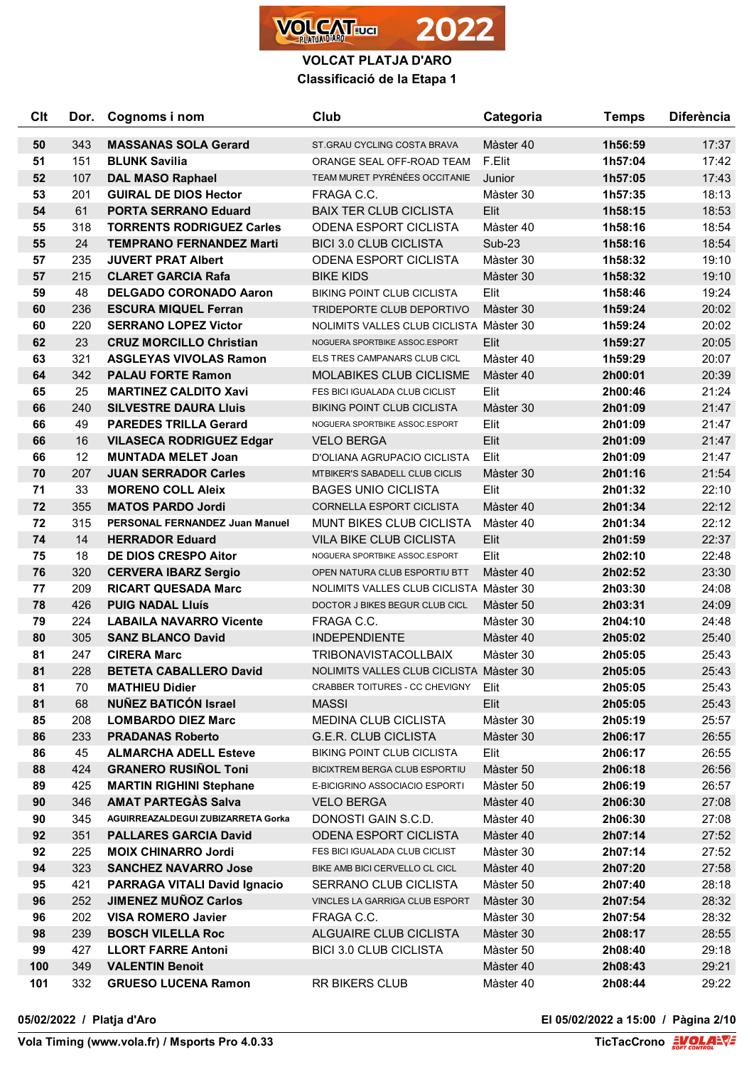

| <b>Clt</b> | Dor. | Cognoms i nom                       | Club                                    | Categoria     | <b>Temps</b> | <b>Diferència</b> |
|------------|------|-------------------------------------|-----------------------------------------|---------------|--------------|-------------------|
| 50         | 343  | <b>MASSANAS SOLA Gerard</b>         | ST.GRAU CYCLING COSTA BRAVA             | Màster 40     | 1h56:59      | 17:37             |
| 51         | 151  | <b>BLUNK Savilia</b>                | ORANGE SEAL OFF-ROAD TEAM               | F.Elit        | 1h57:04      | 17:42             |
| 52         | 107  | <b>DAL MASO Raphael</b>             | TEAM MURET PYRÉNÉES OCCITANIE           | Junior        | 1h57:05      | 17:43             |
| 53         | 201  | <b>GUIRAL DE DIOS Hector</b>        | FRAGA C.C.                              | Màster 30     | 1h57:35      | 18:13             |
| 54         | 61   | <b>PORTA SERRANO Eduard</b>         | <b>BAIX TER CLUB CICLISTA</b>           | Elit          | 1h58:15      | 18:53             |
| 55         | 318  | <b>TORRENTS RODRIGUEZ Carles</b>    | <b>ODENA ESPORT CICLISTA</b>            | Màster 40     | 1h58:16      | 18:54             |
| 55         | 24   | <b>TEMPRANO FERNANDEZ Marti</b>     | <b>BICI 3.0 CLUB CICLISTA</b>           | <b>Sub-23</b> | 1h58:16      | 18:54             |
| 57         | 235  | <b>JUVERT PRAT Albert</b>           | <b>ODENA ESPORT CICLISTA</b>            | Màster 30     | 1h58:32      | 19:10             |
| 57         | 215  | <b>CLARET GARCIA Rafa</b>           | <b>BIKE KIDS</b>                        | Màster 30     | 1h58:32      | 19:10             |
| 59         | 48   | <b>DELGADO CORONADO Aaron</b>       | <b>BIKING POINT CLUB CICLISTA</b>       | Elit          | 1h58:46      | 19:24             |
| 60         | 236  | <b>ESCURA MIQUEL Ferran</b>         | TRIDEPORTE CLUB DEPORTIVO               | Màster 30     | 1h59:24      | 20:02             |
| 60         | 220  | <b>SERRANO LOPEZ Victor</b>         | NOLIMITS VALLES CLUB CICLISTA Màster 30 |               | 1h59:24      | 20:02             |
| 62         | 23   | <b>CRUZ MORCILLO Christian</b>      | NOGUERA SPORTBIKE ASSOC.ESPORT          | Elit          | 1h59:27      | 20:05             |
| 63         | 321  | <b>ASGLEYAS VIVOLAS Ramon</b>       | ELS TRES CAMPANARS CLUB CICL            | Màster 40     | 1h59:29      | 20:07             |
| 64         | 342  | <b>PALAU FORTE Ramon</b>            | <b>MOLABIKES CLUB CICLISME</b>          | Màster 40     | 2h00:01      | 20:39             |
| 65         | 25   | <b>MARTINEZ CALDITO Xavi</b>        | FES BICI IGUALADA CLUB CICLIST          | Elit          | 2h00:46      | 21:24             |
| 66         | 240  | <b>SILVESTRE DAURA LIUIS</b>        | <b>BIKING POINT CLUB CICLISTA</b>       | Màster 30     | 2h01:09      | 21:47             |
| 66         | 49   | <b>PAREDES TRILLA Gerard</b>        | NOGUERA SPORTBIKE ASSOC.ESPORT          | Elit          | 2h01:09      | 21:47             |
| 66         | 16   | <b>VILASECA RODRIGUEZ Edgar</b>     | <b>VELO BERGA</b>                       | Elit          | 2h01:09      | 21:47             |
| 66         | 12   | <b>MUNTADA MELET Joan</b>           | D'OLIANA AGRUPACIO CICLISTA             | Elit          | 2h01:09      | 21:47             |
| 70         | 207  | <b>JUAN SERRADOR Carles</b>         | MTBIKER'S SABADELL CLUB CICLIS          | Màster 30     | 2h01:16      | 21:54             |
| 71         | 33   | <b>MORENO COLL Aleix</b>            | <b>BAGES UNIO CICLISTA</b>              | Elit          | 2h01:32      | 22:10             |
| 72         | 355  | <b>MATOS PARDO Jordi</b>            | <b>CORNELLA ESPORT CICLISTA</b>         | Màster 40     | 2h01:34      | 22:12             |
| 72         | 315  | PERSONAL FERNANDEZ Juan Manuel      | <b>MUNT BIKES CLUB CICLISTA</b>         | Màster 40     | 2h01:34      | 22:12             |
| 74         | 14   | <b>HERRADOR Eduard</b>              | VILA BIKE CLUB CICLISTA                 | Elit          | 2h01:59      | 22:37             |
| 75         | 18   | <b>DE DIOS CRESPO Aitor</b>         | NOGUERA SPORTBIKE ASSOC.ESPORT          | Elit          | 2h02:10      | 22:48             |
| 76         | 320  | <b>CERVERA IBARZ Sergio</b>         | OPEN NATURA CLUB ESPORTIU BTT           | Màster 40     | 2h02:52      | 23:30             |
| 77         | 209  | <b>RICART QUESADA Marc</b>          | NOLIMITS VALLES CLUB CICLISTA Màster 30 |               | 2h03:30      | 24:08             |
| 78         | 426  | <b>PUIG NADAL Lluís</b>             | DOCTOR J BIKES BEGUR CLUB CICL          | Màster 50     | 2h03:31      | 24:09             |
| 79         | 224  | <b>LABAILA NAVARRO Vicente</b>      | FRAGA C.C.                              | Màster 30     | 2h04:10      | 24:48             |
| 80         | 305  | <b>SANZ BLANCO David</b>            | <b>INDEPENDIENTE</b>                    | Màster 40     | 2h05:02      | 25:40             |
| 81         | 247  | <b>CIRERA Marc</b>                  | <b>TRIBONAVISTACOLLBAIX</b>             | Màster 30     | 2h05:05      | 25:43             |
| 81         | 228  | <b>BETETA CABALLERO David</b>       | NOLIMITS VALLES CLUB CICLISTA Màster 30 |               | 2h05:05      | 25:43             |
| 81         | 70   | <b>MATHIEU Didier</b>               | CRABBER TOITURES - CC CHEVIGNY          | Elit          | 2h05:05      | 25:43             |
| 81         | 68   | <b>NUÑEZ BATICÓN Israel</b>         | <b>MASSI</b>                            | Elit          | 2h05:05      | 25:43             |
| 85         | 208  | <b>LOMBARDO DIEZ Marc</b>           | MEDINA CLUB CICLISTA                    | Màster 30     | 2h05:19      | 25:57             |
| 86         | 233  | <b>PRADANAS Roberto</b>             | G.E.R. CLUB CICLISTA                    | Màster 30     | 2h06:17      | 26:55             |
| 86         | 45   | <b>ALMARCHA ADELL Esteve</b>        | <b>BIKING POINT CLUB CICLISTA</b>       | Elit          | 2h06:17      | 26:55             |
| 88         | 424  | <b>GRANERO RUSIÑOL Toni</b>         | BICIXTREM BERGA CLUB ESPORTIU           | Màster 50     | 2h06:18      | 26:56             |
| 89         | 425  | <b>MARTIN RIGHINI Stephane</b>      | E-BICIGRINO ASSOCIACIO ESPORTI          | Màster 50     | 2h06:19      | 26:57             |
| 90         | 346  | <b>AMAT PARTEGAS Salva</b>          | <b>VELO BERGA</b>                       | Màster 40     | 2h06:30      | 27:08             |
| 90         | 345  | AGUIRREAZALDEGUI ZUBIZARRETA Gorka  | DONOSTI GAIN S.C.D.                     | Màster 40     | 2h06:30      | 27:08             |
| 92         | 351  | <b>PALLARES GARCIA David</b>        | <b>ODENA ESPORT CICLISTA</b>            | Màster 40     | 2h07:14      | 27:52             |
| 92         | 225  | <b>MOIX CHINARRO Jordi</b>          | FES BICI IGUALADA CLUB CICLIST          | Màster 30     | 2h07:14      | 27:52             |
| 94         | 323  | <b>SANCHEZ NAVARRO Jose</b>         | BIKE AMB BICI CERVELLO CL CICL          | Màster 40     | 2h07:20      | 27:58             |
| 95         | 421  | <b>PARRAGA VITALI David Ignacio</b> | SERRANO CLUB CICLISTA                   | Màster 50     | 2h07:40      | 28:18             |
| 96         | 252  | <b>JIMENEZ MUÑOZ Carlos</b>         | VINCLES LA GARRIGA CLUB ESPORT          | Màster 30     | 2h07:54      | 28:32             |
| 96         | 202  | <b>VISA ROMERO Javier</b>           | FRAGA C.C.                              | Màster 30     | 2h07:54      | 28:32             |
| 98         | 239  | <b>BOSCH VILELLA Roc</b>            | ALGUAIRE CLUB CICLISTA                  | Màster 30     | 2h08:17      | 28:55             |
| 99         | 427  | <b>LLORT FARRE Antoni</b>           | <b>BICI 3.0 CLUB CICLISTA</b>           | Màster 50     | 2h08:40      | 29:18             |
| 100        | 349  | <b>VALENTIN Benoit</b>              |                                         | Màster 40     | 2h08:43      | 29:21             |
| 101        | 332  | <b>GRUESO LUCENA Ramon</b>          | RR BIKERS CLUB                          | Màster 40     | 2h08:44      | 29:22             |

**05/02/2022 / Platja d'Aro El 05/02/2022 a 15:00 / Pàgina 2/10**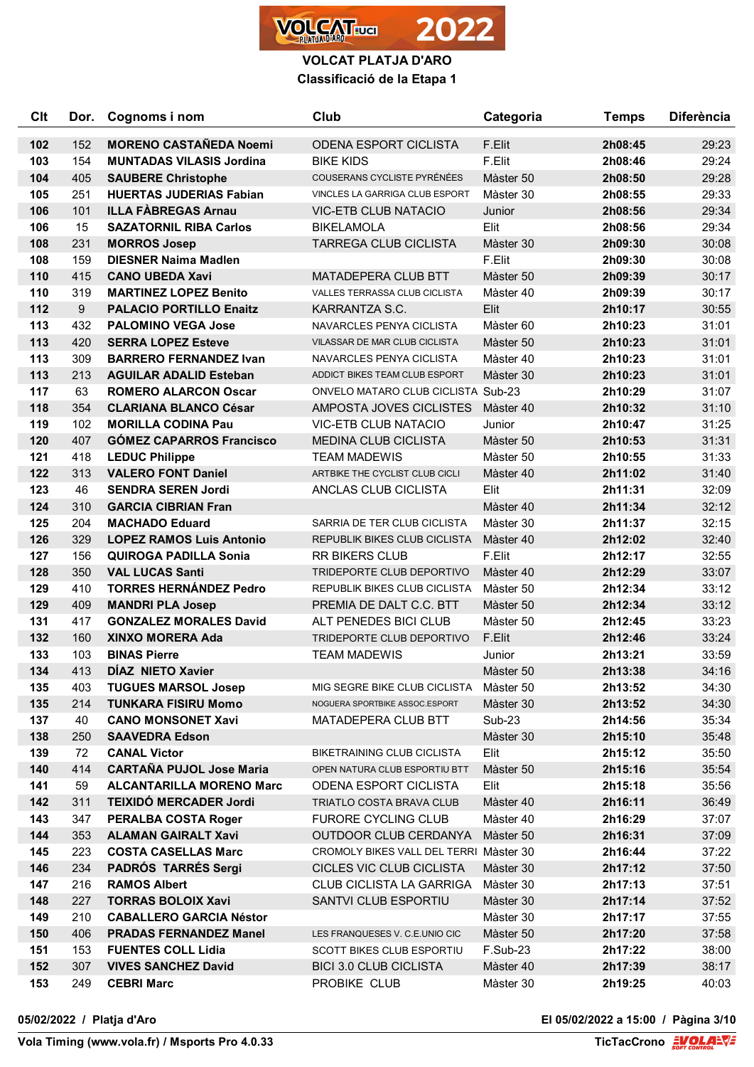

| Clt | Dor. | Cognoms i nom                   | Club                                      | Categoria | <b>Temps</b> | <b>Diferència</b> |
|-----|------|---------------------------------|-------------------------------------------|-----------|--------------|-------------------|
| 102 | 152  | <b>MORENO CASTAÑEDA Noemi</b>   | <b>ODENA ESPORT CICLISTA</b>              | F.Elit    | 2h08:45      | 29:23             |
| 103 | 154  | <b>MUNTADAS VILASIS Jordina</b> | <b>BIKE KIDS</b>                          | F.Elit    | 2h08:46      | 29:24             |
| 104 | 405  | <b>SAUBERE Christophe</b>       | COUSERANS CYCLISTE PYRÉNÉES               | Màster 50 | 2h08:50      | 29:28             |
| 105 | 251  | <b>HUERTAS JUDERIAS Fabian</b>  | VINCLES LA GARRIGA CLUB ESPORT            | Màster 30 | 2h08:55      | 29:33             |
| 106 | 101  | <b>ILLA FÀBREGAS Arnau</b>      | <b>VIC-ETB CLUB NATACIO</b>               | Junior    | 2h08:56      | 29:34             |
| 106 | 15   | <b>SAZATORNIL RIBA Carlos</b>   | <b>BIKELAMOLA</b>                         | Elit      | 2h08:56      | 29:34             |
| 108 | 231  | <b>MORROS Josep</b>             | <b>TARREGA CLUB CICLISTA</b>              | Màster 30 | 2h09:30      | 30:08             |
| 108 | 159  | <b>DIESNER Naima Madlen</b>     |                                           | F.Elit    | 2h09:30      | 30:08             |
| 110 | 415  | <b>CANO UBEDA Xavi</b>          | MATADEPERA CLUB BTT                       | Màster 50 | 2h09:39      | 30:17             |
| 110 | 319  | <b>MARTINEZ LOPEZ Benito</b>    | VALLES TERRASSA CLUB CICLISTA             | Màster 40 | 2h09:39      | 30:17             |
| 112 | 9    | <b>PALACIO PORTILLO Enaitz</b>  | KARRANTZA S.C.                            | Elit      | 2h10:17      | 30:55             |
| 113 | 432  | <b>PALOMINO VEGA Jose</b>       | NAVARCLES PENYA CICLISTA                  | Màster 60 | 2h10:23      | 31:01             |
| 113 | 420  | <b>SERRA LOPEZ Esteve</b>       | VILASSAR DE MAR CLUB CICLISTA             | Màster 50 | 2h10:23      | 31:01             |
| 113 | 309  | <b>BARRERO FERNANDEZ Ivan</b>   | NAVARCLES PENYA CICLISTA                  | Màster 40 | 2h10:23      | 31:01             |
| 113 | 213  | <b>AGUILAR ADALID Esteban</b>   | ADDICT BIKES TEAM CLUB ESPORT             | Màster 30 | 2h10:23      | 31:01             |
| 117 | 63   | <b>ROMERO ALARCON Oscar</b>     | <b>ONVELO MATARO CLUB CICLISTA Sub-23</b> |           | 2h10:29      | 31:07             |
| 118 | 354  | <b>CLARIANA BLANCO César</b>    | AMPOSTA JOVES CICLISTES                   | Màster 40 | 2h10:32      | 31:10             |
| 119 | 102  | <b>MORILLA CODINA Pau</b>       | VIC-ETB CLUB NATACIO                      | Junior    | 2h10:47      | 31:25             |
| 120 | 407  | <b>GÓMEZ CAPARROS Francisco</b> | <b>MEDINA CLUB CICLISTA</b>               | Màster 50 | 2h10:53      | 31:31             |
| 121 | 418  | <b>LEDUC Philippe</b>           | <b>TEAM MADEWIS</b>                       | Màster 50 | 2h10:55      | 31:33             |
| 122 | 313  | <b>VALERO FONT Daniel</b>       | ARTBIKE THE CYCLIST CLUB CICLI            | Màster 40 | 2h11:02      | 31:40             |
| 123 | 46   | <b>SENDRA SEREN Jordi</b>       | ANCLAS CLUB CICLISTA                      | Elit      | 2h11:31      | 32:09             |
| 124 | 310  | <b>GARCIA CIBRIAN Fran</b>      |                                           | Màster 40 | 2h11:34      | 32:12             |
| 125 | 204  | <b>MACHADO Eduard</b>           | SARRIA DE TER CLUB CICLISTA               | Màster 30 | 2h11:37      | 32:15             |
| 126 | 329  | <b>LOPEZ RAMOS Luis Antonio</b> | REPUBLIK BIKES CLUB CICLISTA              | Màster 40 | 2h12:02      | 32:40             |
| 127 | 156  | <b>QUIROGA PADILLA Sonia</b>    | <b>RR BIKERS CLUB</b>                     | F.Elit    | 2h12:17      | 32:55             |
| 128 | 350  | <b>VAL LUCAS Santi</b>          | TRIDEPORTE CLUB DEPORTIVO                 | Màster 40 | 2h12:29      | 33:07             |
| 129 | 410  | <b>TORRES HERNÁNDEZ Pedro</b>   | REPUBLIK BIKES CLUB CICLISTA              | Màster 50 | 2h12:34      | 33:12             |
| 129 | 409  | <b>MANDRI PLA Josep</b>         | PREMIA DE DALT C.C. BTT                   | Màster 50 | 2h12:34      | 33:12             |
| 131 | 417  | <b>GONZALEZ MORALES David</b>   | ALT PENEDES BICI CLUB                     | Màster 50 | 2h12:45      | 33:23             |
| 132 | 160  | <b>XINXO MORERA Ada</b>         | TRIDEPORTE CLUB DEPORTIVO                 | F.Elit    | 2h12:46      | 33:24             |
| 133 | 103  | <b>BINAS Pierre</b>             | <b>TEAM MADEWIS</b>                       | Junior    | 2h13:21      | 33:59             |
| 134 | 413  | <b>DIAZ NIETO Xavier</b>        |                                           | Màster 50 | 2h13:38      | 34:16             |
| 135 | 403  | <b>TUGUES MARSOL Josep</b>      | MIG SEGRE BIKE CLUB CICLISTA              | Màster 50 | 2h13:52      | 34:30             |
| 135 | 214  | <b>TUNKARA FISIRU Momo</b>      | NOGUERA SPORTBIKE ASSOC.ESPORT            | Màster 30 | 2h13:52      | 34:30             |
| 137 | 40   | <b>CANO MONSONET Xavi</b>       | MATADEPERA CLUB BTT                       | Sub-23    | 2h14:56      | 35:34             |
| 138 | 250  | <b>SAAVEDRA Edson</b>           |                                           | Màster 30 | 2h15:10      | 35:48             |
| 139 | 72   | <b>CANAL Victor</b>             | <b>BIKETRAINING CLUB CICLISTA</b>         | Elit      | 2h15:12      | 35:50             |
| 140 | 414  | <b>CARTAÑA PUJOL Jose Maria</b> | OPEN NATURA CLUB ESPORTIU BTT             | Màster 50 | 2h15:16      | 35:54             |
| 141 | 59   | <b>ALCANTARILLA MORENO Marc</b> | <b>ODENA ESPORT CICLISTA</b>              | Elit      | 2h15:18      | 35:56             |
| 142 | 311  | <b>TEIXIDÓ MERCADER Jordi</b>   | TRIATLO COSTA BRAVA CLUB                  | Màster 40 | 2h16:11      | 36:49             |
| 143 | 347  | <b>PERALBA COSTA Roger</b>      | FURORE CYCLING CLUB                       | Màster 40 | 2h16:29      | 37:07             |
| 144 | 353  | <b>ALAMAN GAIRALT Xavi</b>      | OUTDOOR CLUB CERDANYA                     | Màster 50 | 2h16:31      | 37:09             |
| 145 | 223  | <b>COSTA CASELLAS Marc</b>      | CROMOLY BIKES VALL DEL TERRI Màster 30    |           | 2h16:44      | 37:22             |
| 146 | 234  | <b>PADRÓS TARRÉS Sergi</b>      | CICLES VIC CLUB CICLISTA                  | Màster 30 | 2h17:12      | 37:50             |
| 147 | 216  | <b>RAMOS Albert</b>             | <b>CLUB CICLISTA LA GARRIGA</b>           | Màster 30 | 2h17:13      | 37:51             |
| 148 | 227  | <b>TORRAS BOLOIX Xavi</b>       | SANTVI CLUB ESPORTIU                      | Màster 30 | 2h17:14      | 37:52             |
| 149 | 210  | <b>CABALLERO GARCIA Néstor</b>  |                                           | Màster 30 | 2h17:17      | 37:55             |
| 150 | 406  | <b>PRADAS FERNANDEZ Manel</b>   | LES FRANQUESES V. C.E.UNIO CIC            | Màster 50 | 2h17:20      | 37:58             |
| 151 | 153  | <b>FUENTES COLL Lidia</b>       | SCOTT BIKES CLUB ESPORTIU                 | F.Sub-23  | 2h17:22      | 38:00             |
| 152 | 307  | <b>VIVES SANCHEZ David</b>      | <b>BICI 3.0 CLUB CICLISTA</b>             | Màster 40 | 2h17:39      | 38:17             |
| 153 | 249  | <b>CEBRI Marc</b>               | PROBIKE CLUB                              | Màster 30 | 2h19:25      | 40:03             |

**05/02/2022 / Platja d'Aro El 05/02/2022 a 15:00 / Pàgina 3/10**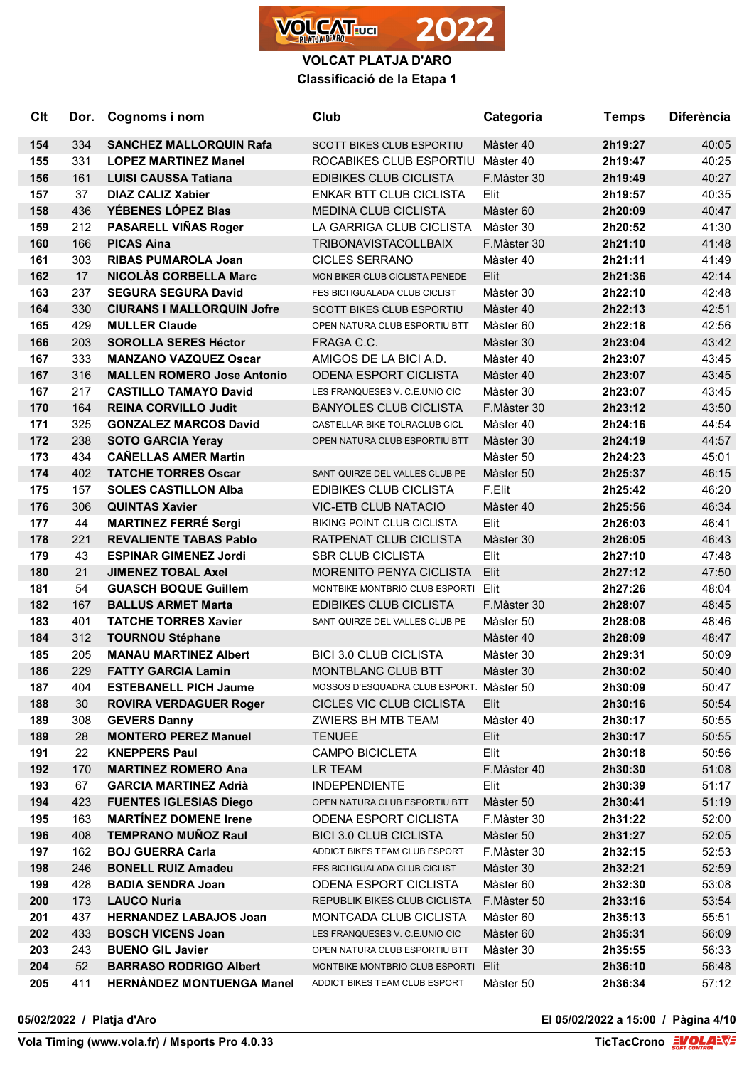

| Clt | Dor. | Cognoms i nom                     | Club                                     | Categoria   | <b>Temps</b> | <b>Diferència</b> |
|-----|------|-----------------------------------|------------------------------------------|-------------|--------------|-------------------|
| 154 | 334  | <b>SANCHEZ MALLORQUIN Rafa</b>    | <b>SCOTT BIKES CLUB ESPORTIU</b>         | Màster 40   | 2h19:27      | 40:05             |
| 155 | 331  | <b>LOPEZ MARTINEZ Manel</b>       | ROCABIKES CLUB ESPORTIU Màster 40        |             | 2h19:47      | 40:25             |
| 156 | 161  | <b>LUISI CAUSSA Tatiana</b>       | <b>EDIBIKES CLUB CICLISTA</b>            | F.Màster 30 | 2h19:49      | 40:27             |
| 157 | 37   | <b>DIAZ CALIZ Xabier</b>          | <b>ENKAR BTT CLUB CICLISTA</b>           | Elit        | 2h19:57      | 40:35             |
| 158 | 436  | YÉBENES LÓPEZ Blas                | <b>MEDINA CLUB CICLISTA</b>              | Màster 60   | 2h20:09      | 40:47             |
| 159 | 212  | PASARELL VIÑAS Roger              | LA GARRIGA CLUB CICLISTA                 | Màster 30   | 2h20:52      | 41:30             |
| 160 | 166  | <b>PICAS Aina</b>                 | <b>TRIBONAVISTACOLLBAIX</b>              | F.Màster 30 | 2h21:10      | 41:48             |
| 161 | 303  | <b>RIBAS PUMAROLA Joan</b>        | <b>CICLES SERRANO</b>                    | Màster 40   | 2h21:11      | 41:49             |
| 162 | 17   | <b>NICOLÀS CORBELLA Marc</b>      | MON BIKER CLUB CICLISTA PENEDE           | Elit        | 2h21:36      | 42:14             |
| 163 | 237  | <b>SEGURA SEGURA David</b>        | FES BICI IGUALADA CLUB CICLIST           | Màster 30   | 2h22:10      | 42:48             |
| 164 | 330  | <b>CIURANS I MALLORQUIN Jofre</b> | <b>SCOTT BIKES CLUB ESPORTIU</b>         | Màster 40   | 2h22:13      | 42:51             |
| 165 | 429  | <b>MULLER Claude</b>              | OPEN NATURA CLUB ESPORTIU BTT            | Màster 60   | 2h22:18      | 42:56             |
| 166 | 203  | <b>SOROLLA SERES Héctor</b>       | FRAGA C.C.                               | Màster 30   | 2h23:04      | 43:42             |
| 167 | 333  | <b>MANZANO VAZQUEZ Oscar</b>      | AMIGOS DE LA BICI A.D.                   | Màster 40   | 2h23:07      | 43:45             |
| 167 | 316  | <b>MALLEN ROMERO Jose Antonio</b> | <b>ODENA ESPORT CICLISTA</b>             | Màster 40   | 2h23:07      | 43:45             |
| 167 | 217  | <b>CASTILLO TAMAYO David</b>      | LES FRANQUESES V. C.E.UNIO CIC           | Màster 30   | 2h23:07      | 43:45             |
| 170 | 164  | <b>REINA CORVILLO Judit</b>       | <b>BANYOLES CLUB CICLISTA</b>            | F.Màster 30 | 2h23:12      | 43:50             |
| 171 | 325  | <b>GONZALEZ MARCOS David</b>      | CASTELLAR BIKE TOLRACLUB CICL            | Màster 40   | 2h24:16      | 44:54             |
| 172 | 238  | <b>SOTO GARCIA Yeray</b>          | OPEN NATURA CLUB ESPORTIU BTT            | Màster 30   | 2h24:19      | 44:57             |
| 173 | 434  | <b>CAÑELLAS AMER Martin</b>       |                                          | Màster 50   | 2h24:23      | 45:01             |
| 174 | 402  | <b>TATCHE TORRES Oscar</b>        | SANT QUIRZE DEL VALLES CLUB PE           | Màster 50   | 2h25:37      | 46:15             |
| 175 | 157  | <b>SOLES CASTILLON Alba</b>       | <b>EDIBIKES CLUB CICLISTA</b>            | F.Elit      | 2h25:42      | 46:20             |
| 176 | 306  | <b>QUINTAS Xavier</b>             | <b>VIC-ETB CLUB NATACIO</b>              | Màster 40   | 2h25:56      | 46:34             |
| 177 | 44   | <b>MARTINEZ FERRÉ Sergi</b>       | <b>BIKING POINT CLUB CICLISTA</b>        | Elit        | 2h26:03      | 46:41             |
| 178 | 221  | <b>REVALIENTE TABAS Pablo</b>     | RATPENAT CLUB CICLISTA                   | Màster 30   | 2h26:05      | 46:43             |
| 179 | 43   | <b>ESPINAR GIMENEZ Jordi</b>      | <b>SBR CLUB CICLISTA</b>                 | Elit        | 2h27:10      | 47:48             |
| 180 | 21   | <b>JIMENEZ TOBAL Axel</b>         | <b>MORENITO PENYA CICLISTA</b>           | Elit        | 2h27:12      | 47:50             |
| 181 | 54   | <b>GUASCH BOQUE Guillem</b>       | MONTBIKE MONTBRIO CLUB ESPORTI Elit      |             | 2h27:26      | 48:04             |
| 182 | 167  | <b>BALLUS ARMET Marta</b>         | <b>EDIBIKES CLUB CICLISTA</b>            | F.Màster 30 | 2h28:07      | 48:45             |
| 183 | 401  | <b>TATCHE TORRES Xavier</b>       | SANT QUIRZE DEL VALLES CLUB PE           | Màster 50   | 2h28:08      | 48:46             |
| 184 | 312  | <b>TOURNOU Stéphane</b>           |                                          | Màster 40   | 2h28:09      | 48:47             |
| 185 | 205  | <b>MANAU MARTINEZ Albert</b>      | <b>BICI 3.0 CLUB CICLISTA</b>            | Màster 30   | 2h29:31      | 50:09             |
| 186 | 229  | <b>FATTY GARCIA Lamin</b>         | MONTBLANC CLUB BTT                       | Màster 30   | 2h30:02      | 50:40             |
| 187 | 404  | <b>ESTEBANELL PICH Jaume</b>      | MOSSOS D'ESQUADRA CLUB ESPORT. Màster 50 |             | 2h30:09      | 50:47             |
| 188 | 30   | <b>ROVIRA VERDAGUER Roger</b>     | CICLES VIC CLUB CICLISTA                 | Elit        | 2h30:16      | 50:54             |
| 189 | 308  | <b>GEVERS Danny</b>               | ZWIERS BH MTB TEAM                       | Màster 40   | 2h30:17      | 50:55             |
| 189 | 28   | <b>MONTERO PEREZ Manuel</b>       | <b>TENUEE</b>                            | Elit        | 2h30:17      | 50:55             |
| 191 | 22   | <b>KNEPPERS Paul</b>              | <b>CAMPO BICICLETA</b>                   | Elit        | 2h30:18      | 50:56             |
| 192 | 170  | <b>MARTINEZ ROMERO Ana</b>        | LR TEAM                                  | F.Màster 40 | 2h30:30      | 51:08             |
| 193 | 67   | <b>GARCIA MARTINEZ Adrià</b>      | <b>INDEPENDIENTE</b>                     | Elit        | 2h30:39      | 51:17             |
| 194 | 423  | <b>FUENTES IGLESIAS Diego</b>     | OPEN NATURA CLUB ESPORTIU BTT            | Màster 50   | 2h30:41      | 51:19             |
| 195 | 163  | <b>MARTÍNEZ DOMENE Irene</b>      | <b>ODENA ESPORT CICLISTA</b>             | F.Màster 30 | 2h31:22      | 52:00             |
| 196 | 408  | <b>TEMPRANO MUÑOZ Raul</b>        | <b>BICI 3.0 CLUB CICLISTA</b>            | Màster 50   | 2h31:27      | 52:05             |
| 197 | 162  | <b>BOJ GUERRA Carla</b>           | ADDICT BIKES TEAM CLUB ESPORT            | F.Màster 30 | 2h32:15      | 52:53             |
| 198 | 246  | <b>BONELL RUIZ Amadeu</b>         | FES BICI IGUALADA CLUB CICLIST           | Màster 30   | 2h32:21      | 52:59             |
| 199 | 428  | <b>BADIA SENDRA Joan</b>          | <b>ODENA ESPORT CICLISTA</b>             | Màster 60   | 2h32:30      | 53:08             |
| 200 | 173  | <b>LAUCO Nuria</b>                | REPUBLIK BIKES CLUB CICLISTA             | F.Màster 50 | 2h33:16      | 53:54             |
| 201 | 437  | <b>HERNANDEZ LABAJOS Joan</b>     | MONTCADA CLUB CICLISTA                   | Màster 60   | 2h35:13      | 55:51             |
| 202 | 433  | <b>BOSCH VICENS Joan</b>          | LES FRANQUESES V. C.E.UNIO CIC           | Màster 60   | 2h35:31      | 56:09             |
| 203 | 243  | <b>BUENO GIL Javier</b>           | OPEN NATURA CLUB ESPORTIU BTT            | Màster 30   | 2h35:55      | 56:33             |
| 204 | 52   | <b>BARRASO RODRIGO Albert</b>     | MONTBIKE MONTBRIO CLUB ESPORTI Elit      |             | 2h36:10      | 56:48             |
| 205 | 411  | <b>HERNÀNDEZ MONTUENGA Manel</b>  | ADDICT BIKES TEAM CLUB ESPORT            | Màster 50   | 2h36:34      | 57:12             |

**Vola Timing (www.vola.fr) / Msports Pro 4.0.33** 

**05/02/2022 / Platja d'Aro El 05/02/2022 a 15:00 / Pàgina 4/10**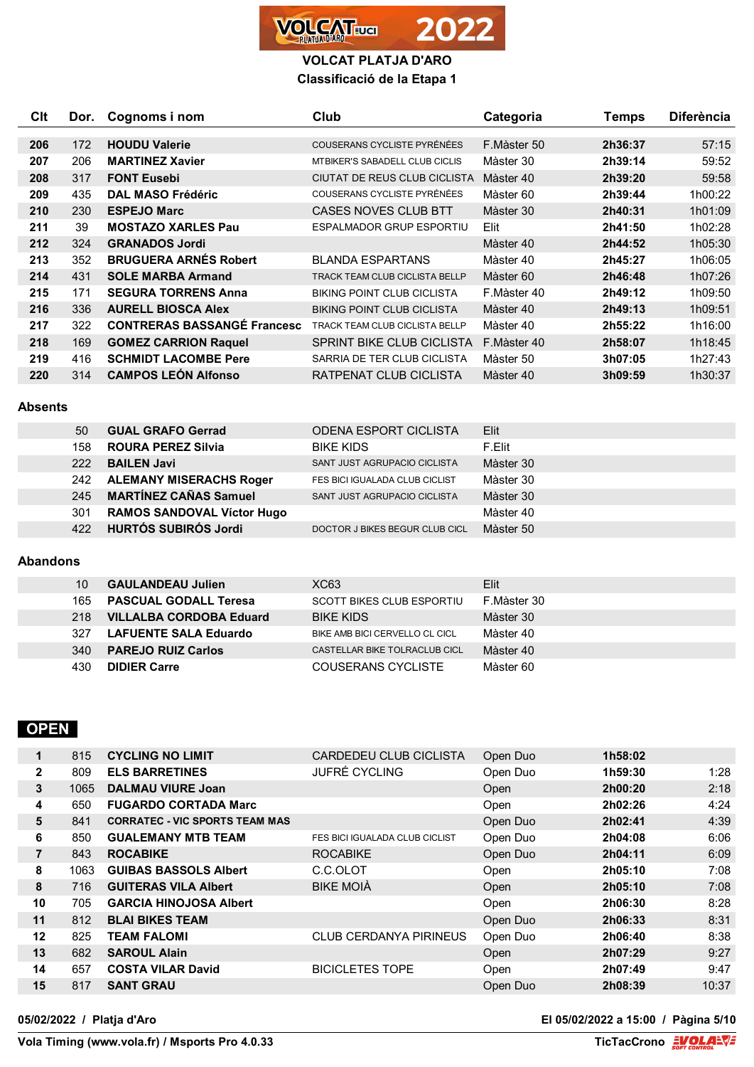

| <b>C</b> It | Dor. | Cognoms i nom                      | Club                                  | Categoria   | Temps   | <b>Diferència</b> |
|-------------|------|------------------------------------|---------------------------------------|-------------|---------|-------------------|
|             |      |                                    |                                       |             |         |                   |
| 206         | 172  | <b>HOUDU Valerie</b>               | COUSERANS CYCLISTE PYRÉNÉES           | F.Màster 50 | 2h36:37 | 57:15             |
| 207         | 206  | <b>MARTINEZ Xavier</b>             | <b>MTBIKER'S SABADELL CLUB CICLIS</b> | Màster 30   | 2h39:14 | 59:52             |
| 208         | 317  | <b>FONT Eusebi</b>                 | CIUTAT DE REUS CLUB CICLISTA          | Màster 40   | 2h39:20 | 59:58             |
| 209         | 435  | <b>DAL MASO Frédéric</b>           | COUSERANS CYCLISTE PYRÉNÉES           | Màster 60   | 2h39:44 | 1h00:22           |
| 210         | 230  | <b>ESPEJO Marc</b>                 | CASES NOVES CLUB BTT                  | Màster 30   | 2h40:31 | 1h01:09           |
| 211         | 39   | <b>MOSTAZO XARLES Pau</b>          | ESPALMADOR GRUP ESPORTIU              | Elit        | 2h41:50 | 1h02:28           |
| 212         | 324  | <b>GRANADOS Jordi</b>              |                                       | Màster 40   | 2h44:52 | 1h05:30           |
| 213         | 352  | <b>BRUGUERA ARNES Robert</b>       | <b>BLANDA ESPARTANS</b>               | Màster 40   | 2h45:27 | 1h06:05           |
| 214         | 431  | <b>SOLE MARBA Armand</b>           | TRACK TEAM CLUB CICLISTA BELLP        | Màster 60   | 2h46:48 | 1h07:26           |
| 215         | 171  | <b>SEGURA TORRENS Anna</b>         | <b>BIKING POINT CLUB CICLISTA</b>     | F.Màster 40 | 2h49:12 | 1h09:50           |
| 216         | 336  | <b>AURELL BIOSCA Alex</b>          | <b>BIKING POINT CLUB CICLISTA</b>     | Màster 40   | 2h49:13 | 1h09:51           |
| 217         | 322  | <b>CONTRERAS BASSANGE Francesc</b> | TRACK TEAM CLUB CICLISTA BELLP        | Màster 40   | 2h55:22 | 1h16:00           |
| 218         | 169  | <b>GOMEZ CARRION Raquel</b>        | SPRINT BIKE CLUB CICLISTA             | F.Màster 40 | 2h58:07 | 1h18:45           |
| 219         | 416  | <b>SCHMIDT LACOMBE Pere</b>        | SARRIA DE TER CLUB CICLISTA           | Màster 50   | 3h07:05 | 1h27:43           |
| 220         | 314  | <b>CAMPOS LEÓN Alfonso</b>         | RATPENAT CLUB CICLISTA                | Màster 40   | 3h09:59 | 1h30:37           |

#### **Absents**

| 50  | <b>GUAL GRAFO Gerrad</b>          | <b>ODENA ESPORT CICLISTA</b>   | Elit      |
|-----|-----------------------------------|--------------------------------|-----------|
| 158 | <b>ROURA PEREZ Silvia</b>         | <b>BIKE KIDS</b>               | F.Elit    |
| 222 | <b>BAILEN Javi</b>                | SANT JUST AGRUPACIO CICLISTA   | Màster 30 |
| 242 | <b>ALEMANY MISERACHS Roger</b>    | FES BICI IGUALADA CLUB CICLIST | Màster 30 |
| 245 | <b>MARTÍNEZ CAÑAS Samuel</b>      | SANT JUST AGRUPACIO CICLISTA   | Màster 30 |
| 301 | <b>RAMOS SANDOVAL Víctor Hugo</b> |                                | Màster 40 |
| 422 | <b>HURTÓS SUBIRÓS Jordi</b>       | DOCTOR J BIKES BEGUR CLUB CICL | Màster 50 |

### **Abandons**

| 10   | <b>GAULANDEAU Julien</b>       | XC63                             | Elit.       |
|------|--------------------------------|----------------------------------|-------------|
| 165. | <b>PASCUAL GODALL Teresa</b>   | <b>SCOTT BIKES CLUB ESPORTIU</b> | F.Màster 30 |
| 218  | <b>VILLALBA CORDOBA Eduard</b> | <b>BIKE KIDS</b>                 | Màster 30   |
| 327  | LAFUENTE SALA Eduardo          | BIKE AMB BICI CERVELLO CL CICL   | Màster 40   |
| 340  | <b>PAREJO RUIZ Carlos</b>      | CASTELLAR BIKE TOLRACLUB CICL    | Màster 40   |
| 430  | <b>DIDIER Carre</b>            | COUSERANS CYCLISTE               | Màster 60   |

# **OPEN**

| 1            | 815  | <b>CYCLING NO LIMIT</b>               | CARDEDEU CLUB CICLISTA                | Open Duo | 1h58:02 |       |
|--------------|------|---------------------------------------|---------------------------------------|----------|---------|-------|
| $\mathbf{2}$ | 809  | <b>ELS BARRETINES</b>                 | <b>JUFRÉ CYCLING</b>                  | Open Duo | 1h59:30 | 1:28  |
| 3            | 1065 | <b>DALMAU VIURE Joan</b>              |                                       | Open     | 2h00:20 | 2:18  |
| 4            | 650  | <b>FUGARDO CORTADA Marc</b>           |                                       | Open     | 2h02:26 | 4:24  |
| 5            | 841  | <b>CORRATEC - VIC SPORTS TEAM MAS</b> |                                       | Open Duo | 2h02:41 | 4:39  |
| 6            | 850  | <b>GUALEMANY MTB TEAM</b>             | <b>FES BICI IGUALADA CLUB CICLIST</b> | Open Duo | 2h04:08 | 6:06  |
| 7            | 843  | <b>ROCABIKE</b>                       | <b>ROCABIKE</b>                       | Open Duo | 2h04:11 | 6:09  |
| 8            | 1063 | <b>GUIBAS BASSOLS Albert</b>          | C.C.OLOT                              | Open     | 2h05:10 | 7:08  |
| 8            | 716  | <b>GUITERAS VILA Albert</b>           | <b>BIKE MOIÀ</b>                      | Open     | 2h05:10 | 7:08  |
| 10           | 705  | <b>GARCIA HINOJOSA Albert</b>         |                                       | Open     | 2h06:30 | 8:28  |
| 11           | 812  | <b>BLAI BIKES TEAM</b>                |                                       | Open Duo | 2h06:33 | 8:31  |
| 12           | 825  | <b>TEAM FALOMI</b>                    | <b>CLUB CERDANYA PIRINEUS</b>         | Open Duo | 2h06:40 | 8:38  |
| 13           | 682  | <b>SAROUL Alain</b>                   |                                       | Open     | 2h07:29 | 9:27  |
| 14           | 657  | <b>COSTA VILAR David</b>              | <b>BICICLETES TOPE</b>                | Open     | 2h07:49 | 9:47  |
| 15           | 817  | <b>SANT GRAU</b>                      |                                       | Open Duo | 2h08:39 | 10:37 |

**05/02/2022 / Platja d'Aro El 05/02/2022 a 15:00 / Pàgina 5/10**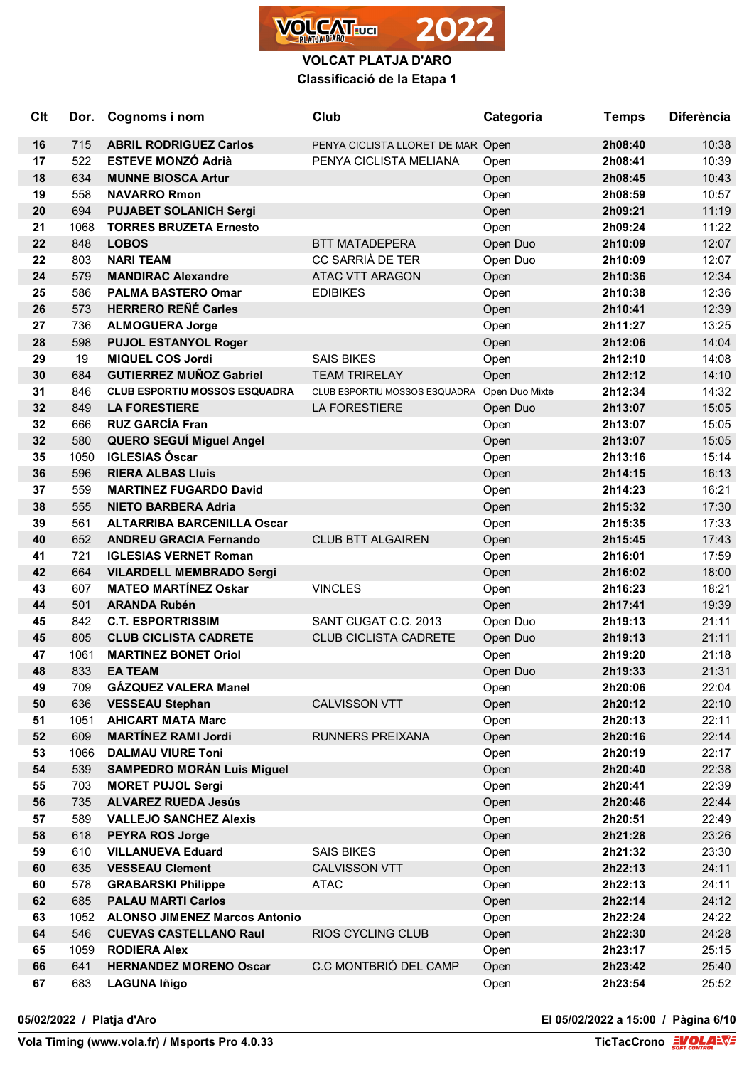

| Clt | Dor. | Cognoms i nom                        | Club                                         | Categoria | <b>Temps</b> | <b>Diferència</b> |
|-----|------|--------------------------------------|----------------------------------------------|-----------|--------------|-------------------|
| 16  | 715  | <b>ABRIL RODRIGUEZ Carlos</b>        | PENYA CICLISTA LLORET DE MAR Open            |           | 2h08:40      | 10:38             |
| 17  | 522  | <b>ESTEVE MONZÓ Adrià</b>            | PENYA CICLISTA MELIANA                       | Open      | 2h08:41      | 10:39             |
| 18  | 634  | <b>MUNNE BIOSCA Artur</b>            |                                              | Open      | 2h08:45      | 10:43             |
| 19  | 558  | <b>NAVARRO Rmon</b>                  |                                              | Open      | 2h08:59      | 10:57             |
| 20  | 694  | <b>PUJABET SOLANICH Sergi</b>        |                                              | Open      | 2h09:21      | 11:19             |
| 21  | 1068 | <b>TORRES BRUZETA Ernesto</b>        |                                              | Open      | 2h09:24      | 11:22             |
| 22  | 848  | <b>LOBOS</b>                         | <b>BTT MATADEPERA</b>                        | Open Duo  | 2h10:09      | 12:07             |
| 22  | 803  | <b>NARI TEAM</b>                     | CC SARRIÀ DE TER                             | Open Duo  | 2h10:09      | 12:07             |
| 24  | 579  | <b>MANDIRAC Alexandre</b>            | <b>ATAC VTT ARAGON</b>                       | Open      | 2h10:36      | 12:34             |
| 25  | 586  | <b>PALMA BASTERO Omar</b>            | <b>EDIBIKES</b>                              | Open      | 2h10:38      | 12:36             |
| 26  | 573  | <b>HERRERO REÑÉ Carles</b>           |                                              | Open      | 2h10:41      | 12:39             |
| 27  | 736  | <b>ALMOGUERA Jorge</b>               |                                              | Open      | 2h11:27      | 13:25             |
| 28  | 598  | <b>PUJOL ESTANYOL Roger</b>          |                                              | Open      | 2h12:06      | 14:04             |
| 29  | 19   | <b>MIQUEL COS Jordi</b>              | <b>SAIS BIKES</b>                            | Open      | 2h12:10      | 14:08             |
| 30  | 684  | <b>GUTIERREZ MUÑOZ Gabriel</b>       | <b>TEAM TRIRELAY</b>                         | Open      | 2h12:12      | 14:10             |
| 31  | 846  | <b>CLUB ESPORTIU MOSSOS ESQUADRA</b> | CLUB ESPORTIU MOSSOS ESQUADRA Open Duo Mixte |           | 2h12:34      | 14:32             |
| 32  | 849  | <b>LA FORESTIERE</b>                 | <b>LA FORESTIERE</b>                         | Open Duo  | 2h13:07      | 15:05             |
| 32  | 666  | <b>RUZ GARCÍA Fran</b>               |                                              | Open      | 2h13:07      | 15:05             |
| 32  | 580  | <b>QUERO SEGUÍ Miguel Angel</b>      |                                              | Open      | 2h13:07      | 15:05             |
| 35  | 1050 | <b>IGLESIAS Óscar</b>                |                                              | Open      | 2h13:16      | 15:14             |
| 36  | 596  | <b>RIERA ALBAS Lluis</b>             |                                              | Open      | 2h14:15      | 16:13             |
| 37  | 559  | <b>MARTINEZ FUGARDO David</b>        |                                              | Open      | 2h14:23      | 16:21             |
| 38  | 555  | <b>NIETO BARBERA Adria</b>           |                                              | Open      | 2h15:32      | 17:30             |
| 39  | 561  | <b>ALTARRIBA BARCENILLA Oscar</b>    |                                              | Open      | 2h15:35      | 17:33             |
| 40  | 652  | <b>ANDREU GRACIA Fernando</b>        | <b>CLUB BTT ALGAIREN</b>                     | Open      | 2h15:45      | 17:43             |
| 41  | 721  | <b>IGLESIAS VERNET Roman</b>         |                                              | Open      | 2h16:01      | 17:59             |
| 42  | 664  | <b>VILARDELL MEMBRADO Sergi</b>      |                                              | Open      | 2h16:02      | 18:00             |
| 43  | 607  | <b>MATEO MARTINEZ Oskar</b>          | <b>VINCLES</b>                               | Open      | 2h16:23      | 18:21             |
| 44  | 501  | <b>ARANDA Rubén</b>                  |                                              | Open      | 2h17:41      | 19:39             |
| 45  | 842  | <b>C.T. ESPORTRISSIM</b>             | SANT CUGAT C.C. 2013                         | Open Duo  | 2h19:13      | 21:11             |
| 45  | 805  | <b>CLUB CICLISTA CADRETE</b>         | <b>CLUB CICLISTA CADRETE</b>                 | Open Duo  | 2h19:13      | 21:11             |
| 47  | 1061 | <b>MARTINEZ BONET Oriol</b>          |                                              | Open      | 2h19:20      | 21:18             |
| 48  | 833  | <b>EA TEAM</b>                       |                                              | Open Duo  | 2h19:33      | 21:31             |
| 49  | 709  | GÁZQUEZ VALERA Manel                 |                                              | Open      | 2h20:06      | 22:04             |
| 50  | 636  | <b>VESSEAU Stephan</b>               | <b>CALVISSON VTT</b>                         | Open      | 2h20:12      | 22:10             |
| 51  | 1051 | <b>AHICART MATA Marc</b>             |                                              | Open      | 2h20:13      | 22:11             |
| 52  | 609  | <b>MARTÍNEZ RAMI Jordi</b>           | <b>RUNNERS PREIXANA</b>                      | Open      | 2h20:16      | 22:14             |
| 53  | 1066 | <b>DALMAU VIURE Toni</b>             |                                              | Open      | 2h20:19      | 22:17             |
| 54  | 539  | <b>SAMPEDRO MORÁN Luis Miguel</b>    |                                              | Open      | 2h20:40      | 22:38             |
| 55  | 703  | <b>MORET PUJOL Sergi</b>             |                                              | Open      | 2h20:41      | 22:39             |
| 56  | 735  | <b>ALVAREZ RUEDA Jesús</b>           |                                              | Open      | 2h20:46      | 22:44             |
| 57  | 589  | <b>VALLEJO SANCHEZ Alexis</b>        |                                              | Open      | 2h20:51      | 22:49             |
| 58  | 618  | <b>PEYRA ROS Jorge</b>               |                                              | Open      | 2h21:28      | 23:26             |
| 59  | 610  | <b>VILLANUEVA Eduard</b>             | <b>SAIS BIKES</b>                            | Open      | 2h21:32      | 23:30             |
| 60  | 635  | <b>VESSEAU Clement</b>               | <b>CALVISSON VTT</b>                         | Open      | 2h22:13      | 24:11             |
| 60  | 578  | <b>GRABARSKI Philippe</b>            | <b>ATAC</b>                                  | Open      | 2h22:13      | 24:11             |
| 62  | 685  | <b>PALAU MARTI Carlos</b>            |                                              | Open      | 2h22:14      | 24:12             |
| 63  | 1052 | <b>ALONSO JIMENEZ Marcos Antonio</b> |                                              | Open      | 2h22:24      | 24:22             |
| 64  | 546  | <b>CUEVAS CASTELLANO Raul</b>        | RIOS CYCLING CLUB                            | Open      | 2h22:30      | 24:28             |
| 65  | 1059 | <b>RODIERA Alex</b>                  |                                              | Open      | 2h23:17      | 25:15             |
| 66  | 641  | <b>HERNANDEZ MORENO Oscar</b>        | C.C MONTBRIÓ DEL CAMP                        | Open      | 2h23:42      | 25:40             |
| 67  | 683  | <b>LAGUNA Iñigo</b>                  |                                              | Open      | 2h23:54      | 25:52             |

**05/02/2022 / Platja d'Aro El 05/02/2022 a 15:00 / Pàgina 6/10**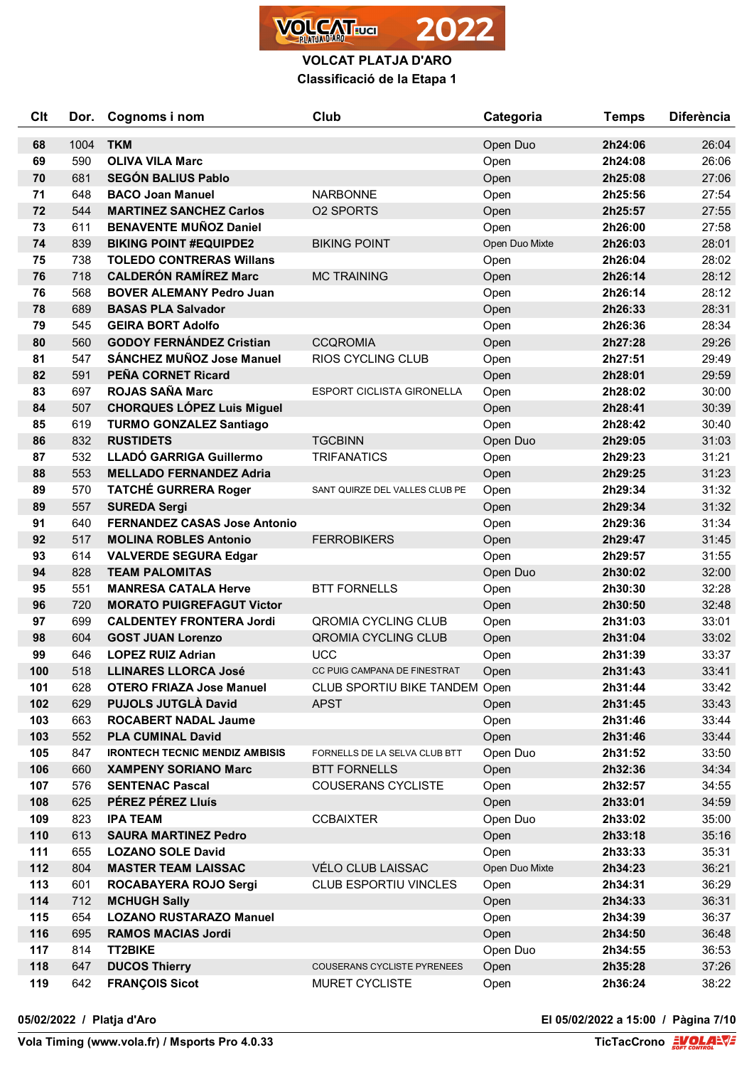

| Clt | Dor. | Cognoms i nom                         | Club                             | Categoria      | <b>Temps</b> | <b>Diferència</b> |
|-----|------|---------------------------------------|----------------------------------|----------------|--------------|-------------------|
| 68  | 1004 | <b>TKM</b>                            |                                  | Open Duo       | 2h24:06      | 26:04             |
| 69  | 590  | <b>OLIVA VILA Marc</b>                |                                  | Open           | 2h24:08      | 26:06             |
| 70  | 681  | <b>SEGÓN BALIUS Pablo</b>             |                                  | Open           | 2h25:08      | 27:06             |
| 71  | 648  | <b>BACO Joan Manuel</b>               | <b>NARBONNE</b>                  | Open           | 2h25:56      | 27:54             |
| 72  | 544  | <b>MARTINEZ SANCHEZ Carlos</b>        | <b>02 SPORTS</b>                 | Open           | 2h25:57      | 27:55             |
| 73  | 611  | <b>BENAVENTE MUÑOZ Daniel</b>         |                                  | Open           | 2h26:00      | 27:58             |
| 74  | 839  | <b>BIKING POINT #EQUIPDE2</b>         | <b>BIKING POINT</b>              | Open Duo Mixte | 2h26:03      | 28:01             |
| 75  | 738  | <b>TOLEDO CONTRERAS Willans</b>       |                                  | Open           | 2h26:04      | 28:02             |
| 76  | 718  | <b>CALDERÓN RAMÍREZ Marc</b>          | <b>MC TRAINING</b>               | Open           | 2h26:14      | 28:12             |
| 76  | 568  | <b>BOVER ALEMANY Pedro Juan</b>       |                                  | Open           | 2h26:14      | 28:12             |
| 78  | 689  | <b>BASAS PLA Salvador</b>             |                                  | Open           | 2h26:33      | 28:31             |
| 79  | 545  | <b>GEIRA BORT Adolfo</b>              |                                  | Open           | 2h26:36      | 28:34             |
| 80  | 560  | <b>GODOY FERNÁNDEZ Cristian</b>       | <b>CCQROMIA</b>                  | Open           | 2h27:28      | 29:26             |
| 81  | 547  | SÁNCHEZ MUÑOZ Jose Manuel             | <b>RIOS CYCLING CLUB</b>         | Open           | 2h27:51      | 29:49             |
| 82  | 591  | PEÑA CORNET Ricard                    |                                  | Open           | 2h28:01      | 29:59             |
| 83  | 697  | <b>ROJAS SAÑA Marc</b>                | <b>ESPORT CICLISTA GIRONELLA</b> | Open           | 2h28:02      | 30:00             |
| 84  | 507  | <b>CHORQUES LÓPEZ Luis Miguel</b>     |                                  | Open           | 2h28:41      | 30:39             |
| 85  | 619  | <b>TURMO GONZALEZ Santiago</b>        |                                  | Open           | 2h28:42      | 30:40             |
| 86  | 832  | <b>RUSTIDETS</b>                      | <b>TGCBINN</b>                   | Open Duo       | 2h29:05      | 31:03             |
| 87  | 532  | <b>LLADÓ GARRIGA Guillermo</b>        | <b>TRIFANATICS</b>               | Open           | 2h29:23      | 31:21             |
| 88  | 553  | <b>MELLADO FERNANDEZ Adria</b>        |                                  | Open           | 2h29:25      | 31:23             |
| 89  | 570  | <b>TATCHÉ GURRERA Roger</b>           | SANT QUIRZE DEL VALLES CLUB PE   | Open           | 2h29:34      | 31:32             |
| 89  | 557  | <b>SUREDA Sergi</b>                   |                                  | Open           | 2h29:34      | 31:32             |
| 91  | 640  | <b>FERNANDEZ CASAS Jose Antonio</b>   |                                  | Open           | 2h29:36      | 31:34             |
| 92  | 517  | <b>MOLINA ROBLES Antonio</b>          | <b>FERROBIKERS</b>               | Open           | 2h29:47      | 31:45             |
| 93  | 614  | <b>VALVERDE SEGURA Edgar</b>          |                                  | Open           | 2h29:57      | 31:55             |
| 94  | 828  | <b>TEAM PALOMITAS</b>                 |                                  | Open Duo       | 2h30:02      | 32:00             |
| 95  | 551  | <b>MANRESA CATALA Herve</b>           | <b>BTT FORNELLS</b>              | Open           | 2h30:30      | 32:28             |
| 96  | 720  | <b>MORATO PUIGREFAGUT Victor</b>      |                                  | Open           | 2h30:50      | 32:48             |
| 97  | 699  | <b>CALDENTEY FRONTERA Jordi</b>       | <b>QROMIA CYCLING CLUB</b>       | Open           | 2h31:03      | 33:01             |
| 98  | 604  | <b>GOST JUAN Lorenzo</b>              | <b>QROMIA CYCLING CLUB</b>       | Open           | 2h31:04      | 33:02             |
| 99  | 646  | <b>LOPEZ RUIZ Adrian</b>              | <b>UCC</b>                       | Open           | 2h31:39      | 33:37             |
| 100 | 518  | <b>LLINARES LLORCA José</b>           | CC PUIG CAMPANA DE FINESTRAT     | Open           | 2h31:43      | 33:41             |
| 101 | 628  | <b>OTERO FRIAZA Jose Manuel</b>       | CLUB SPORTIU BIKE TANDEM Open    |                | 2h31:44      | 33:42             |
| 102 | 629  | <b>PUJOLS JUTGLÀ David</b>            | <b>APST</b>                      | Open           | 2h31:45      | 33:43             |
| 103 | 663  | <b>ROCABERT NADAL Jaume</b>           |                                  | Open           | 2h31:46      | 33:44             |
| 103 | 552  | <b>PLA CUMINAL David</b>              |                                  | Open           | 2h31:46      | 33:44             |
| 105 | 847  | <b>IRONTECH TECNIC MENDIZ AMBISIS</b> | FORNELLS DE LA SELVA CLUB BTT    | Open Duo       | 2h31:52      | 33:50             |
| 106 | 660  | <b>XAMPENY SORIANO Marc</b>           | <b>BTT FORNELLS</b>              | Open           | 2h32:36      | 34:34             |
| 107 | 576  | <b>SENTENAC Pascal</b>                | <b>COUSERANS CYCLISTE</b>        | Open           | 2h32:57      | 34:55             |
| 108 | 625  | PÉREZ PÉREZ Lluís                     |                                  | Open           | 2h33:01      | 34:59             |
| 109 | 823  | <b>IPA TEAM</b>                       | <b>CCBAIXTER</b>                 | Open Duo       | 2h33:02      | 35:00             |
| 110 | 613  | <b>SAURA MARTINEZ Pedro</b>           |                                  | Open           | 2h33:18      | 35:16             |
| 111 | 655  | <b>LOZANO SOLE David</b>              |                                  | Open           | 2h33:33      | 35:31             |
| 112 | 804  | <b>MASTER TEAM LAISSAC</b>            | VÉLO CLUB LAISSAC                | Open Duo Mixte | 2h34:23      | 36:21             |
| 113 | 601  | ROCABAYERA ROJO Sergi                 | <b>CLUB ESPORTIU VINCLES</b>     | Open           | 2h34:31      | 36:29             |
| 114 | 712  | <b>MCHUGH Sally</b>                   |                                  | Open           | 2h34:33      | 36:31             |
| 115 | 654  | <b>LOZANO RUSTARAZO Manuel</b>        |                                  | Open           | 2h34:39      | 36:37             |
| 116 | 695  | <b>RAMOS MACIAS Jordi</b>             |                                  | Open           | 2h34:50      | 36:48             |
| 117 | 814  | TT2BIKE                               |                                  | Open Duo       | 2h34:55      | 36:53             |
| 118 | 647  | <b>DUCOS Thierry</b>                  | COUSERANS CYCLISTE PYRENEES      | Open           | 2h35:28      | 37:26             |
| 119 | 642  | <b>FRANÇOIS Sicot</b>                 | MURET CYCLISTE                   | Open           | 2h36:24      | 38:22             |

**05/02/2022 / Platja d'Aro El 05/02/2022 a 15:00 / Pàgina 7/10**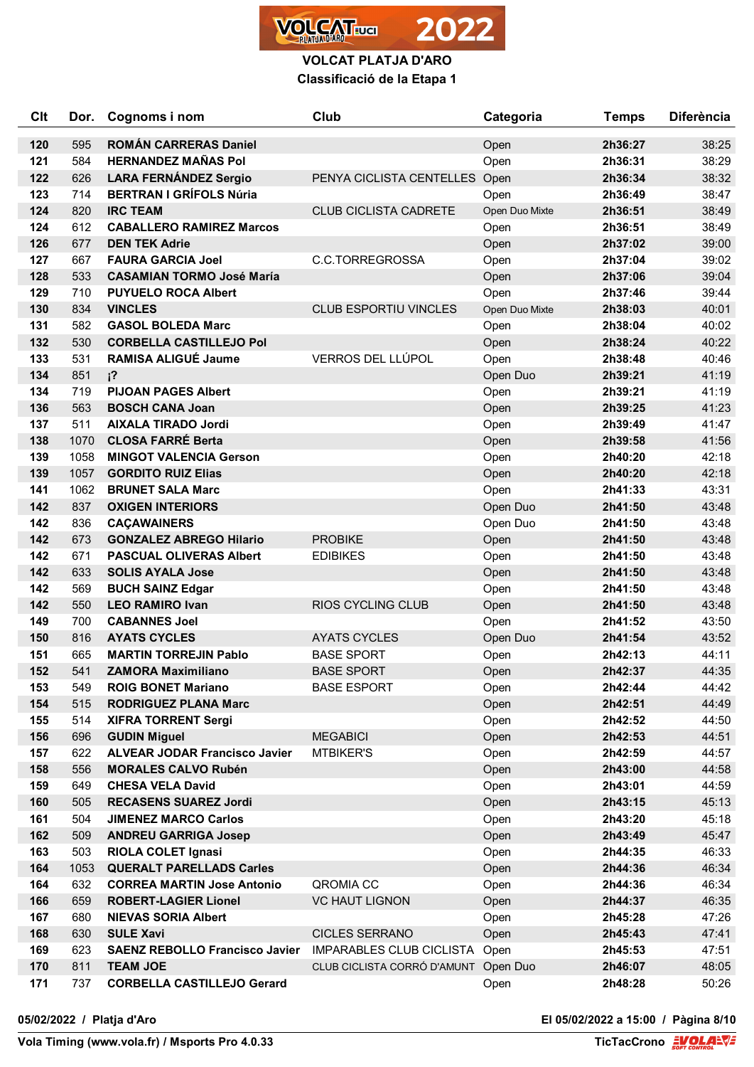

| Clt | Dor. | Cognoms i nom                         | Club                          | Categoria      | <b>Temps</b> | <b>Diferència</b> |
|-----|------|---------------------------------------|-------------------------------|----------------|--------------|-------------------|
| 120 | 595  | <b>ROMAN CARRERAS Daniel</b>          |                               | Open           | 2h36:27      | 38:25             |
| 121 | 584  | <b>HERNANDEZ MAÑAS Pol</b>            |                               | Open           | 2h36:31      | 38:29             |
| 122 | 626  | <b>LARA FERNÁNDEZ Sergio</b>          | PENYA CICLISTA CENTELLES Open |                | 2h36:34      | 38:32             |
| 123 | 714  | <b>BERTRAN I GRÍFOLS Núria</b>        |                               | Open           | 2h36:49      | 38:47             |
| 124 | 820  | <b>IRC TEAM</b>                       | <b>CLUB CICLISTA CADRETE</b>  | Open Duo Mixte | 2h36:51      | 38:49             |
| 124 | 612  | <b>CABALLERO RAMIREZ Marcos</b>       |                               | Open           | 2h36:51      | 38:49             |
| 126 | 677  | <b>DEN TEK Adrie</b>                  |                               | Open           | 2h37:02      | 39:00             |
| 127 | 667  | <b>FAURA GARCIA Joel</b>              | C.C.TORREGROSSA               | Open           | 2h37:04      | 39:02             |
| 128 | 533  | <b>CASAMIAN TORMO José María</b>      |                               | Open           | 2h37:06      | 39:04             |
| 129 | 710  | <b>PUYUELO ROCA Albert</b>            |                               | Open           | 2h37:46      | 39:44             |
| 130 | 834  | <b>VINCLES</b>                        | <b>CLUB ESPORTIU VINCLES</b>  | Open Duo Mixte | 2h38:03      | 40:01             |
| 131 | 582  | <b>GASOL BOLEDA Marc</b>              |                               | Open           | 2h38:04      | 40:02             |
| 132 | 530  | <b>CORBELLA CASTILLEJO Pol</b>        |                               | Open           | 2h38:24      | 40:22             |
| 133 | 531  | <b>RAMISA ALIGUÉ Jaume</b>            | VERROS DEL LLÚPOL             | Open           | 2h38:48      | 40:46             |
| 134 | 851  | $i^2$                                 |                               | Open Duo       | 2h39:21      | 41:19             |
| 134 | 719  | <b>PIJOAN PAGES Albert</b>            |                               | Open           | 2h39:21      | 41:19             |
| 136 | 563  | <b>BOSCH CANA Joan</b>                |                               | Open           | 2h39:25      | 41:23             |
| 137 | 511  | <b>AIXALA TIRADO Jordi</b>            |                               | Open           | 2h39:49      | 41:47             |
| 138 | 1070 | <b>CLOSA FARRÉ Berta</b>              |                               | Open           | 2h39:58      | 41:56             |
| 139 | 1058 | <b>MINGOT VALENCIA Gerson</b>         |                               | Open           | 2h40:20      | 42:18             |
| 139 | 1057 | <b>GORDITO RUIZ Elias</b>             |                               | Open           | 2h40:20      | 42:18             |
| 141 | 1062 | <b>BRUNET SALA Marc</b>               |                               | Open           | 2h41:33      | 43:31             |
| 142 | 837  | <b>OXIGEN INTERIORS</b>               |                               | Open Duo       | 2h41:50      | 43:48             |
| 142 | 836  | <b>CAÇAWAINERS</b>                    |                               | Open Duo       | 2h41:50      | 43:48             |
| 142 | 673  | <b>GONZALEZ ABREGO Hilario</b>        | <b>PROBIKE</b>                | Open           | 2h41:50      | 43:48             |
| 142 | 671  | <b>PASCUAL OLIVERAS Albert</b>        | <b>EDIBIKES</b>               | Open           | 2h41:50      | 43:48             |
| 142 | 633  | <b>SOLIS AYALA Jose</b>               |                               | Open           | 2h41:50      | 43:48             |
| 142 | 569  | <b>BUCH SAINZ Edgar</b>               |                               | Open           | 2h41:50      | 43:48             |
| 142 | 550  | <b>LEO RAMIRO Ivan</b>                | <b>RIOS CYCLING CLUB</b>      | Open           | 2h41:50      | 43:48             |
| 149 | 700  | <b>CABANNES Joel</b>                  |                               | Open           | 2h41:52      | 43:50             |
| 150 | 816  | <b>AYATS CYCLES</b>                   | <b>AYATS CYCLES</b>           | Open Duo       | 2h41:54      | 43:52             |
| 151 | 665  | <b>MARTIN TORREJIN Pablo</b>          | <b>BASE SPORT</b>             | Open           | 2h42:13      | 44:11             |
| 152 | 541  | <b>ZAMORA Maximiliano</b>             | <b>BASE SPORT</b>             | Open           | 2h42:37      | 44:35             |
| 153 | 549  | <b>ROIG BONET Mariano</b>             | <b>BASE ESPORT</b>            | Open           | 2h42:44      | 44:42             |
| 154 | 515  | <b>RODRIGUEZ PLANA Marc</b>           |                               | Open           | 2h42:51      | 44:49             |
| 155 | 514  | <b>XIFRA TORRENT Sergi</b>            |                               | Open           | 2h42:52      | 44:50             |
| 156 | 696  | <b>GUDIN Miguel</b>                   | <b>MEGABICI</b>               | Open           | 2h42:53      | 44:51             |
| 157 | 622  | <b>ALVEAR JODAR Francisco Javier</b>  | <b>MTBIKER'S</b>              | Open           | 2h42:59      | 44:57             |
| 158 | 556  | <b>MORALES CALVO Rubén</b>            |                               | Open           | 2h43:00      | 44:58             |
| 159 | 649  | <b>CHESA VELA David</b>               |                               | Open           | 2h43:01      | 44:59             |
| 160 | 505  | <b>RECASENS SUAREZ Jordi</b>          |                               | Open           | 2h43:15      | 45:13             |
| 161 | 504  | <b>JIMENEZ MARCO Carlos</b>           |                               | Open           | 2h43:20      | 45:18             |
| 162 | 509  | <b>ANDREU GARRIGA Josep</b>           |                               | Open           | 2h43:49      | 45:47             |
| 163 | 503  | <b>RIOLA COLET Ignasi</b>             |                               | Open           | 2h44:35      | 46:33             |
| 164 | 1053 | <b>QUERALT PARELLADS Carles</b>       |                               | Open           | 2h44:36      | 46:34             |
| 164 | 632  | <b>CORREA MARTIN Jose Antonio</b>     | QROMIA CC                     | Open           | 2h44:36      | 46:34             |
| 166 | 659  | <b>ROBERT-LAGIER Lionel</b>           | <b>VC HAUT LIGNON</b>         | Open           | 2h44:37      | 46:35             |
| 167 | 680  | <b>NIEVAS SORIA Albert</b>            |                               | Open           | 2h45:28      | 47:26             |
| 168 | 630  | <b>SULE Xavi</b>                      | <b>CICLES SERRANO</b>         | Open           | 2h45:43      | 47:41             |
| 169 | 623  | <b>SAENZ REBOLLO Francisco Javier</b> | IMPARABLES CLUB CICLISTA      | Open           | 2h45:53      | 47:51             |
| 170 | 811  | <b>TEAM JOE</b>                       | CLUB CICLISTA CORRÓ D'AMUNT   | Open Duo       | 2h46:07      | 48:05             |
| 171 | 737  | <b>CORBELLA CASTILLEJO Gerard</b>     |                               | Open           | 2h48:28      | 50:26             |

**05/02/2022 / Platja d'Aro El 05/02/2022 a 15:00 / Pàgina 8/10**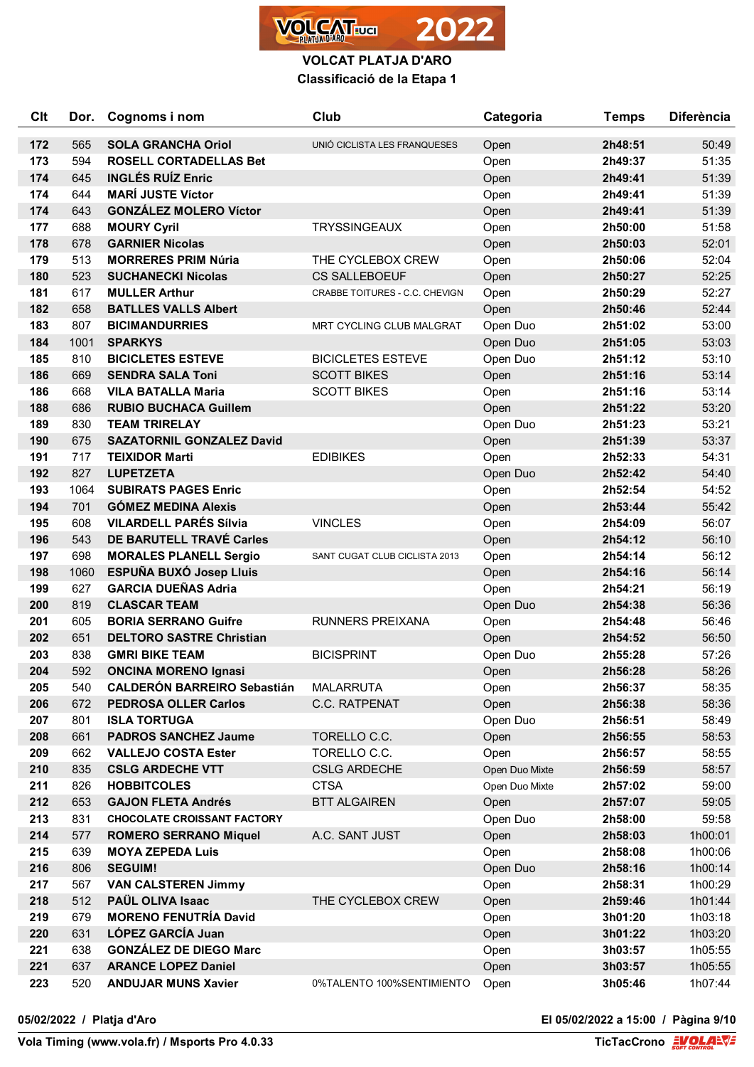

| Clt | Dor. | Cognoms i nom                      | Club                           | Categoria      | <b>Temps</b> | <b>Diferència</b> |
|-----|------|------------------------------------|--------------------------------|----------------|--------------|-------------------|
| 172 | 565  | <b>SOLA GRANCHA Oriol</b>          | UNIÓ CICLISTA LES FRANQUESES   | Open           | 2h48:51      | 50:49             |
| 173 | 594  | <b>ROSELL CORTADELLAS Bet</b>      |                                | Open           | 2h49:37      | 51:35             |
| 174 | 645  | <b>INGLÉS RUÍZ Enric</b>           |                                | Open           | 2h49:41      | 51:39             |
| 174 | 644  | <b>MARÍ JUSTE Víctor</b>           |                                | Open           | 2h49:41      | 51:39             |
| 174 | 643  | <b>GONZÁLEZ MOLERO Víctor</b>      |                                | Open           | 2h49:41      | 51:39             |
| 177 | 688  | <b>MOURY Cyril</b>                 | <b>TRYSSINGEAUX</b>            | Open           | 2h50:00      | 51:58             |
| 178 | 678  | <b>GARNIER Nicolas</b>             |                                | Open           | 2h50:03      | 52:01             |
| 179 | 513  | <b>MORRERES PRIM Núria</b>         | THE CYCLEBOX CREW              | Open           | 2h50:06      | 52:04             |
| 180 | 523  | <b>SUCHANECKI Nicolas</b>          | <b>CS SALLEBOEUF</b>           | Open           | 2h50:27      | 52:25             |
| 181 | 617  | <b>MULLER Arthur</b>               | CRABBE TOITURES - C.C. CHEVIGN | Open           | 2h50:29      | 52:27             |
| 182 | 658  | <b>BATLLES VALLS Albert</b>        |                                | Open           | 2h50:46      | 52:44             |
| 183 | 807  | <b>BICIMANDURRIES</b>              | MRT CYCLING CLUB MALGRAT       | Open Duo       | 2h51:02      | 53:00             |
| 184 | 1001 | <b>SPARKYS</b>                     |                                | Open Duo       | 2h51:05      | 53:03             |
| 185 | 810  | <b>BICICLETES ESTEVE</b>           | <b>BICICLETES ESTEVE</b>       | Open Duo       | 2h51:12      | 53:10             |
| 186 | 669  | <b>SENDRA SALA Toni</b>            | <b>SCOTT BIKES</b>             | Open           | 2h51:16      | 53:14             |
| 186 | 668  | <b>VILA BATALLA Maria</b>          | <b>SCOTT BIKES</b>             | Open           | 2h51:16      | 53:14             |
| 188 | 686  | <b>RUBIO BUCHACA Guillem</b>       |                                | Open           | 2h51:22      | 53:20             |
| 189 | 830  | <b>TEAM TRIRELAY</b>               |                                | Open Duo       | 2h51:23      | 53:21             |
| 190 | 675  | <b>SAZATORNIL GONZALEZ David</b>   |                                | Open           | 2h51:39      | 53:37             |
| 191 | 717  | <b>TEIXIDOR Marti</b>              | <b>EDIBIKES</b>                | Open           | 2h52:33      | 54:31             |
| 192 | 827  | <b>LUPETZETA</b>                   |                                | Open Duo       | 2h52:42      | 54:40             |
| 193 | 1064 | <b>SUBIRATS PAGES Enric</b>        |                                | Open           | 2h52:54      | 54:52             |
| 194 | 701  | <b>GÓMEZ MEDINA Alexis</b>         |                                | Open           | 2h53:44      | 55:42             |
| 195 | 608  | <b>VILARDELL PARÉS Sílvia</b>      | <b>VINCLES</b>                 | Open           | 2h54:09      | 56:07             |
| 196 | 543  | DE BARUTELL TRAVÉ Carles           |                                | Open           | 2h54:12      | 56:10             |
| 197 | 698  | <b>MORALES PLANELL Sergio</b>      | SANT CUGAT CLUB CICLISTA 2013  | Open           | 2h54:14      | 56:12             |
| 198 | 1060 | ESPUÑA BUXÓ Josep Lluis            |                                | Open           | 2h54:16      | 56:14             |
| 199 | 627  | <b>GARCIA DUEÑAS Adria</b>         |                                | Open           | 2h54:21      | 56:19             |
| 200 | 819  | <b>CLASCAR TEAM</b>                |                                | Open Duo       | 2h54:38      | 56:36             |
| 201 | 605  | <b>BORIA SERRANO Guifre</b>        | <b>RUNNERS PREIXANA</b>        | Open           | 2h54:48      | 56:46             |
| 202 | 651  | <b>DELTORO SASTRE Christian</b>    |                                | Open           | 2h54:52      | 56:50             |
| 203 | 838  | <b>GMRI BIKE TEAM</b>              | <b>BICISPRINT</b>              | Open Duo       | 2h55:28      | 57:26             |
| 204 | 592  | <b>ONCINA MORENO Ignasi</b>        |                                | Open           | 2h56:28      | 58:26             |
| 205 | 540  | <b>CALDERÓN BARREIRO Sebastián</b> | <b>MALARRUTA</b>               | Open           | 2h56:37      | 58:35             |
| 206 | 672  | <b>PEDROSA OLLER Carlos</b>        | C.C. RATPENAT                  | Open           | 2h56:38      | 58:36             |
| 207 | 801  | <b>ISLA TORTUGA</b>                |                                | Open Duo       | 2h56:51      | 58:49             |
| 208 | 661  | <b>PADROS SANCHEZ Jaume</b>        | TORELLO C.C.                   | Open           | 2h56:55      | 58:53             |
| 209 | 662  | <b>VALLEJO COSTA Ester</b>         | TORELLO C.C.                   | Open           | 2h56:57      | 58:55             |
| 210 | 835  | <b>CSLG ARDECHE VTT</b>            | <b>CSLG ARDECHE</b>            | Open Duo Mixte | 2h56:59      | 58:57             |
| 211 | 826  | <b>HOBBITCOLES</b>                 | <b>CTSA</b>                    | Open Duo Mixte | 2h57:02      | 59:00             |
| 212 | 653  | <b>GAJON FLETA Andrés</b>          | <b>BTT ALGAIREN</b>            | Open           | 2h57:07      | 59:05             |
| 213 | 831  | <b>CHOCOLATE CROISSANT FACTORY</b> |                                | Open Duo       | 2h58:00      | 59:58             |
| 214 | 577  | <b>ROMERO SERRANO Miquel</b>       | A.C. SANT JUST                 | Open           | 2h58:03      | 1h00:01           |
| 215 | 639  | <b>MOYA ZEPEDA Luis</b>            |                                | Open           | 2h58:08      | 1h00:06           |
| 216 | 806  | <b>SEGUIM!</b>                     |                                | Open Duo       | 2h58:16      | 1h00:14           |
| 217 | 567  | <b>VAN CALSTEREN Jimmy</b>         |                                | Open           | 2h58:31      | 1h00:29           |
| 218 | 512  | PAÜL OLIVA Isaac                   | THE CYCLEBOX CREW              | Open           | 2h59:46      | 1h01:44           |
| 219 | 679  | <b>MORENO FENUTRÍA David</b>       |                                | Open           | 3h01:20      | 1h03:18           |
| 220 | 631  | LÓPEZ GARCÍA Juan                  |                                | Open           | 3h01:22      | 1h03:20           |
| 221 | 638  | <b>GONZÁLEZ DE DIEGO Marc</b>      |                                | Open           | 3h03:57      | 1h05:55           |
| 221 | 637  | <b>ARANCE LOPEZ Daniel</b>         |                                | Open           | 3h03:57      | 1h05:55           |
| 223 | 520  | <b>ANDUJAR MUNS Xavier</b>         | 0%TALENTO 100%SENTIMIENTO      | Open           | 3h05:46      | 1h07:44           |

**05/02/2022 / Platja d'Aro El 05/02/2022 a 15:00 / Pàgina 9/10**